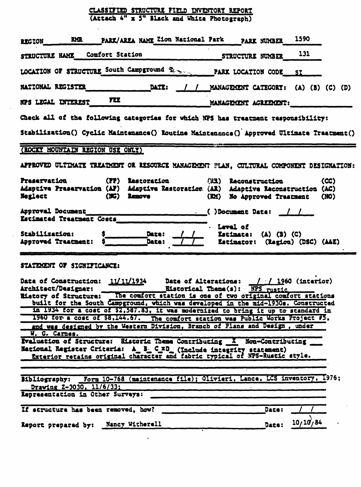## CLASSIFIED STRUCTURE FIELD INVENTORY REPORT (Attach 4" x 5" Black and White Photograph)

 $\alpha$ 

| RMR PARK/AREA NAME Zion National Park PARK NUMBER<br><b>REGION</b>                                                                                                                                                                                                                                                                                                                                                                                                                                                                                                                        | 1590                                                                                    |          |  |  |  |  |
|-------------------------------------------------------------------------------------------------------------------------------------------------------------------------------------------------------------------------------------------------------------------------------------------------------------------------------------------------------------------------------------------------------------------------------------------------------------------------------------------------------------------------------------------------------------------------------------------|-----------------------------------------------------------------------------------------|----------|--|--|--|--|
| STRUCTURE NAME Comfort Station                                                                                                                                                                                                                                                                                                                                                                                                                                                                                                                                                            | STRUCTURE NUMBER 131                                                                    |          |  |  |  |  |
| LOCATION OF STRUCTURE South Campground \$2 million PARK LOCATION CODE SI                                                                                                                                                                                                                                                                                                                                                                                                                                                                                                                  |                                                                                         |          |  |  |  |  |
| <b>DATE:</b><br><b>NATIONAL REGISTER</b>                                                                                                                                                                                                                                                                                                                                                                                                                                                                                                                                                  | / / MANAGEMENT CATEGORY: (A) (B) (C) (D)                                                |          |  |  |  |  |
| NPS LEGAL INTEREST FEE                                                                                                                                                                                                                                                                                                                                                                                                                                                                                                                                                                    | MANAGEMENT AGREEMENT:                                                                   |          |  |  |  |  |
| Check all of the following categories for which NPS has treatment responsibility:                                                                                                                                                                                                                                                                                                                                                                                                                                                                                                         |                                                                                         |          |  |  |  |  |
| Stabilization() Cyclic Maintenance() Routine Maintenance() Approved Ultimate Treatment()                                                                                                                                                                                                                                                                                                                                                                                                                                                                                                  |                                                                                         |          |  |  |  |  |
| (ROCKY MOUNTAIN REGION USE ONLY)                                                                                                                                                                                                                                                                                                                                                                                                                                                                                                                                                          |                                                                                         |          |  |  |  |  |
| APPROVED ULTIMATE TREATMENT OR RESOURCE MANAGEMENT PLAN, CULTURAL COMPONENT DESIGNATION:                                                                                                                                                                                                                                                                                                                                                                                                                                                                                                  |                                                                                         |          |  |  |  |  |
| Preservation (PP) Restoration<br>Adaptive Preservation (AP) Adaptive Restoration (AR) Adaptive Reconstruction (AC)<br>(NG) Remove<br>Neglect                                                                                                                                                                                                                                                                                                                                                                                                                                              | (EX) Reconstruction<br>(RM) No Approved Traatment (NO)                                  | (CC)     |  |  |  |  |
| Estimated Treatment Costs                                                                                                                                                                                                                                                                                                                                                                                                                                                                                                                                                                 |                                                                                         |          |  |  |  |  |
| $\begin{array}{c c}\n\hline\n\text{Date:} & f \\ \hline\n\text{Date:} & f\n\end{array}$<br>Stabilization:<br>Approved Trastment:                                                                                                                                                                                                                                                                                                                                                                                                                                                          | . Level of<br>$\frac{1}{1}$ Estimate: (A) (B) (C)<br>TI Estimator: (Region) (DSC) (A&E) |          |  |  |  |  |
| STATEMENT OF SIGNIFICANCE:                                                                                                                                                                                                                                                                                                                                                                                                                                                                                                                                                                |                                                                                         |          |  |  |  |  |
| Date of Construction: $\frac{11}{11934}$ Date of Alterations: ///1960 (interior)<br>Architect/Designer: Eistorical Theme(s): NPS rustic<br>Eistory of Structure: The comfort station is one of two original comfort stations<br>built for the South Campground, which was developed in the mid-1930s. Constructed<br>In 1934 for a cost of \$2,587.83, it was modernized to bring it up to standard in<br>1960 for a cost of \$8,144.67. The comfort station was Public Works Project #5,<br>and was designed by the Western Division, Branch of Plans and Design, under<br>W. G. Carnes. |                                                                                         |          |  |  |  |  |
| Evaluation of Structure: Elsteric Theme Contributing X Non-Contributing<br>National Register Criteria: A_B_C_xD_(Include integrity statement)<br>Exterior retains original character and fabric typical of NPS-Rustic style.                                                                                                                                                                                                                                                                                                                                                              |                                                                                         |          |  |  |  |  |
| Bibliography: Form 10-768 (maintenance file); Olivieri, Lance, LCS inventory, 1976;<br>Drawing Z-3030, 11/6/33:<br>Representation in Other Surveys:                                                                                                                                                                                                                                                                                                                                                                                                                                       |                                                                                         |          |  |  |  |  |
| If structure has been removed, how?                                                                                                                                                                                                                                                                                                                                                                                                                                                                                                                                                       | Date:                                                                                   |          |  |  |  |  |
| <b>Nancy Witherell</b><br>Report prepared by:                                                                                                                                                                                                                                                                                                                                                                                                                                                                                                                                             | Date:                                                                                   | 10/10/84 |  |  |  |  |

 $\bullet$